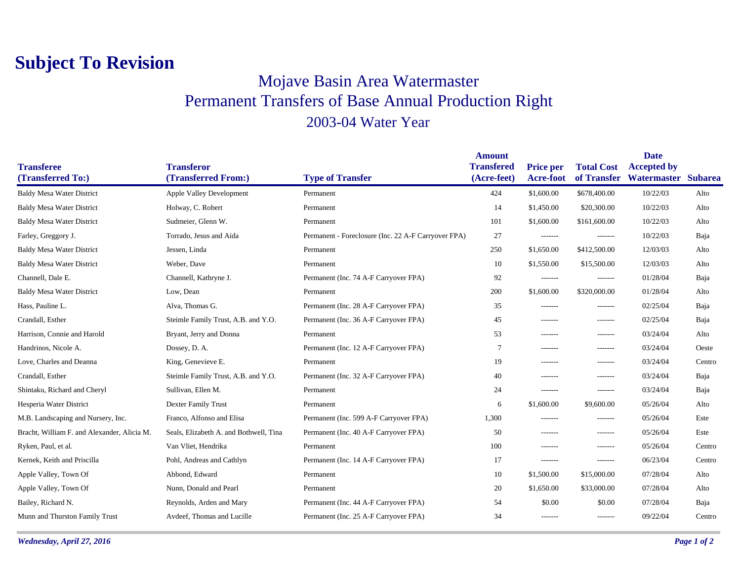## **Subject To Revision**

## Mojave Basin Area Watermaster Permanent Transfers of Base Annual Production Right 2003-04 Water Year

|                                             |                                        |                                                     | <b>Amount</b>     |                  |                   | <b>Date</b>         |        |
|---------------------------------------------|----------------------------------------|-----------------------------------------------------|-------------------|------------------|-------------------|---------------------|--------|
| <b>Transferee</b>                           | <b>Transferor</b>                      |                                                     | <b>Transfered</b> | <b>Price per</b> | <b>Total Cost</b> | <b>Accepted by</b>  |        |
| (Transferred To:)                           | (Transferred From:)                    | <b>Type of Transfer</b>                             | (Acre-feet)       | Acre-foot        | of Transfer       | Watermaster Subarea |        |
| <b>Baldy Mesa Water District</b>            | <b>Apple Valley Development</b>        | Permanent                                           | 424               | \$1,600.00       | \$678,400.00      | 10/22/03            | Alto   |
| <b>Baldy Mesa Water District</b>            | Holway, C. Robert                      | Permanent                                           | 14                | \$1,450.00       | \$20,300.00       | 10/22/03            | Alto   |
| <b>Baldy Mesa Water District</b>            | Sudmeier, Glenn W.                     | Permanent                                           | 101               | \$1,600.00       | \$161,600.00      | 10/22/03            | Alto   |
| Farley, Greggory J.                         | Torrado, Jesus and Aida                | Permanent - Foreclosure (Inc. 22 A-F Carryover FPA) | 27                | -------          | -------           | 10/22/03            | Baja   |
| <b>Baldy Mesa Water District</b>            | Jessen, Linda                          | Permanent                                           | 250               | \$1,650.00       | \$412,500.00      | 12/03/03            | Alto   |
| <b>Baldy Mesa Water District</b>            | Weber, Dave                            | Permanent                                           | 10                | \$1,550.00       | \$15,500.00       | 12/03/03            | Alto   |
| Channell, Dale E.                           | Channell, Kathryne J.                  | Permanent (Inc. 74 A-F Carryover FPA)               | 92                | -------          | -------           | 01/28/04            | Baja   |
| <b>Baldy Mesa Water District</b>            | Low, Dean                              | Permanent                                           | 200               | \$1,600.00       | \$320,000.00      | 01/28/04            | Alto   |
| Hass, Pauline L.                            | Alva, Thomas G.                        | Permanent (Inc. 28 A-F Carryover FPA)               | 35                | -------          | -------           | 02/25/04            | Baja   |
| Crandall, Esther                            | Steimle Family Trust, A.B. and Y.O.    | Permanent (Inc. 36 A-F Carryover FPA)               | 45                | -------          | -------           | 02/25/04            | Baja   |
| Harrison, Connie and Harold                 | Bryant, Jerry and Donna                | Permanent                                           | 53                | -------          | -------           | 03/24/04            | Alto   |
| Handrinos, Nicole A.                        | Dossey, D. A.                          | Permanent (Inc. 12 A-F Carryover FPA)               | 7                 | -------          | -------           | 03/24/04            | Oeste  |
| Love, Charles and Deanna                    | King, Genevieve E.                     | Permanent                                           | 19                | $- - - - - - -$  | $- - - - - - -$   | 03/24/04            | Centro |
| Crandall, Esther                            | Steimle Family Trust, A.B. and Y.O.    | Permanent (Inc. 32 A-F Carryover FPA)               | 40                | -------          | -------           | 03/24/04            | Baja   |
| Shintaku, Richard and Cheryl                | Sullivan, Ellen M.                     | Permanent                                           | 24                | -------          | -------           | 03/24/04            | Baja   |
| Hesperia Water District                     | <b>Dexter Family Trust</b>             | Permanent                                           | 6                 | \$1,600.00       | \$9,600.00        | 05/26/04            | Alto   |
| M.B. Landscaping and Nursery, Inc.          | Franco, Alfonso and Elisa              | Permanent (Inc. 599 A-F Carryover FPA)              | 1,300             | -------          | -------           | 05/26/04            | Este   |
| Bracht, William F. and Alexander, Alicia M. | Seals, Elizabeth A. and Bothwell, Tina | Permanent (Inc. 40 A-F Carryover FPA)               | 50                | -------          | -------           | 05/26/04            | Este   |
| Ryken, Paul, et al.                         | Van Vliet, Hendrika                    | Permanent                                           | 100               | -------          | -------           | 05/26/04            | Centro |
| Kernek, Keith and Priscilla                 | Pohl, Andreas and Cathlyn              | Permanent (Inc. 14 A-F Carryover FPA)               | 17                | $- - - - - - -$  | -------           | 06/23/04            | Centro |
| Apple Valley, Town Of                       | Abbond, Edward                         | Permanent                                           | 10                | \$1,500.00       | \$15,000.00       | 07/28/04            | Alto   |
| Apple Valley, Town Of                       | Nunn, Donald and Pearl                 | Permanent                                           | 20                | \$1,650.00       | \$33,000.00       | 07/28/04            | Alto   |
| Bailey, Richard N.                          | Reynolds, Arden and Mary               | Permanent (Inc. 44 A-F Carryover FPA)               | 54                | \$0.00           | \$0.00            | 07/28/04            | Baja   |
| Munn and Thurston Family Trust              | Avdeef, Thomas and Lucille             | Permanent (Inc. 25 A-F Carryover FPA)               | 34                | -------          | $- - - - - - -$   | 09/22/04            | Centro |